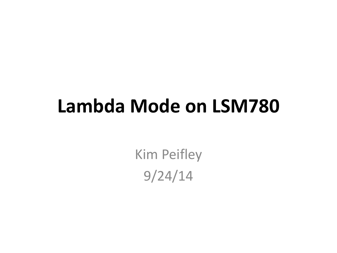## **Lambda Mode on LSM780**

Kim Peifley 9/24/14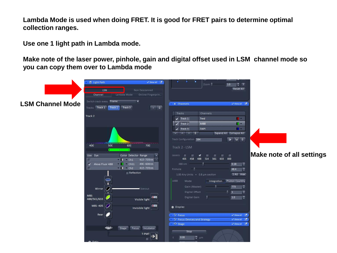**Lambda Mode is used when doing FRET. It is good for FRET pairs to determine optimal collection ranges.**

**Use one 1 light path in Lambda mode.**

**Make note of the laser power, pinhole, gain and digital offset used in LSM channel mode so you can copy them over to Lambda mode**

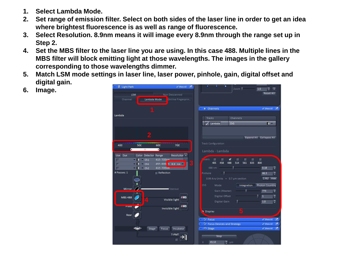- **1. Select Lambda Mode.**
- **2. Set range of emission filter. Select on both sides of the laser line in order to get an idea where brightest fluorescence is as well as range of fluorescence.**
- **3. Select Resolution. 8.9nm means it will image every 8.9nm through the range set up in Step 2.**
- **4. Set the MBS filter to the laser line you are using. In this case 488. Multiple lines in the MBS filter will block emitting light at those wavelengths. The images in the gallery corresponding to those wavelengths dimmer.**
- **5. Match LSM mode settings in laser line, laser power, pinhole, gain, digital offset and digital gain.**
- **6. Image.**

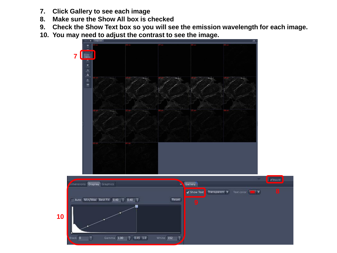- **7. Click Gallery to see each image**
- **8. Make sure the Show All box is checked**
- **9. Check the Show Text box so you will see the emission wavelength for each image.**
- **10. You may need to adjust the contrast to see the image.**

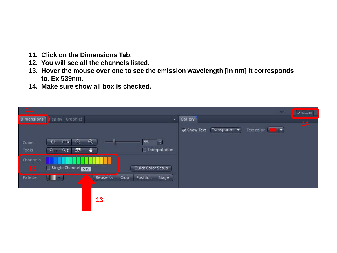- **11. Click on the Dimensions Tab.**
- **12. You will see all the channels listed.**
- **13. Hover the mouse over one to see the emission wavelength [in nm] it corresponds to. Ex 539nm.**
- **14. Make sure show all box is checked.**

|                   |                                                                           | $\overline{\mathcal{M}}$                                 | $\sqrt{\sin \omega}$ |
|-------------------|---------------------------------------------------------------------------|----------------------------------------------------------|----------------------|
| <b>Dimensions</b> | Display Graphics<br>÷                                                     | Gallery                                                  |                      |
|                   |                                                                           | Transparent v<br><b>THE R</b><br>Show Text<br>Text color | 14 <sup>°</sup>      |
| Zoom              | $\Box$<br>$\Theta$<br>$^{\circledR}$<br>55<br>$\vert \cdot \vert$<br>100% |                                                          |                      |
| Tools             | Interpolation<br>53<br>$Q_{\rm II}$<br>$Q_1$<br>o                         |                                                          |                      |
| Channels          |                                                                           |                                                          |                      |
| 12                | Single Channel 539<br>Quick Color Setup                                   |                                                          |                      |
| Palette           | Reuse S<br>Crop<br>Positio<br>Stage<br>۳                                  |                                                          |                      |
|                   |                                                                           |                                                          |                      |
|                   | 13                                                                        |                                                          |                      |
|                   |                                                                           |                                                          |                      |
|                   |                                                                           |                                                          |                      |